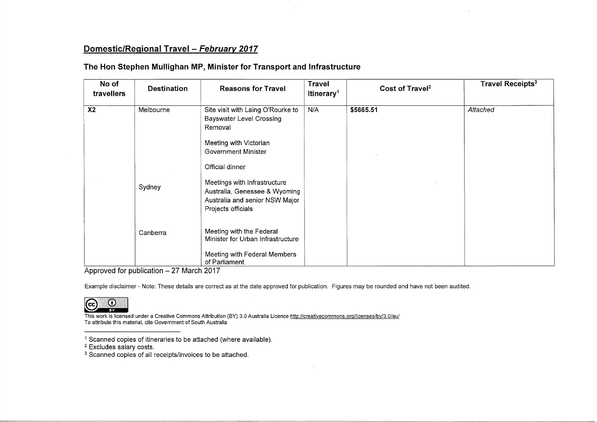# Domestic/Regional Travel - February 2017

| No of<br>travellers | <b>Destination</b> | <b>Reasons for Travel</b>                                                                                                                | <b>Travel</b><br>Itinerary <sup>1</sup> | Cost of Travel <sup>2</sup> | <b>Travel Receipts<sup>3</sup></b> |
|---------------------|--------------------|------------------------------------------------------------------------------------------------------------------------------------------|-----------------------------------------|-----------------------------|------------------------------------|
| X <sub>2</sub>      | Melbourne          | Site visit with Laing O'Rourke to<br><b>Bayswater Level Crossing</b><br>Removal<br>Meeting with Victorian<br>Government Minister         | N/A                                     | \$5665.51                   | Attached                           |
|                     | Sydney             | Official dinner<br>Meetings with Infrastructure<br>Australia, Genessee & Wyoming<br>Australia and senior NSW Major<br>Projects officials |                                         |                             |                                    |
|                     | Canberra           | Meeting with the Federal<br>Minister for Urban Infrastructure<br>Meeting with Federal Members<br>of Parliament                           |                                         |                             |                                    |

# The Hon Stephen Mullighan MP, Minister for Transport and Infrastructure

Approved for publication  $-27$  March 2017

Example disclaimer - Note: These details are correct as at the date approved for publication. Figures may be rounded and have not been audited.



This work is licensed under a Creative Commons Attribution (BY) 3.0 Australia Licence <u>http://creativecommons.org/licenses/by/3.0/au</u><br>To attribute this material, cite Government of South Australia

 $^{\rm 1}$  Scanned copies of itineraries to be attached (where available).

<sup>&</sup>lt;sup>2</sup> Excludes salary costs.

<sup>&</sup>lt;sup>3</sup> Scanned copies of all receipts/invoices to be attached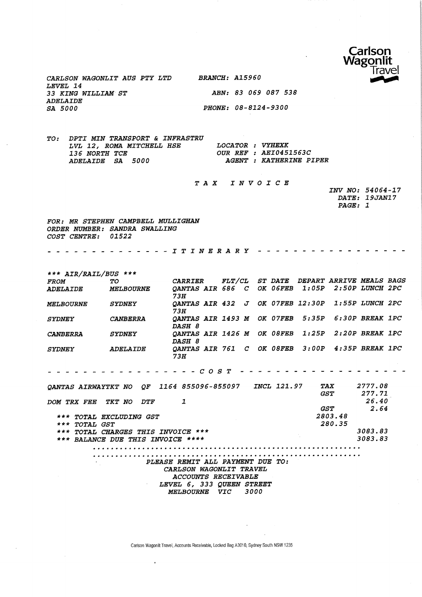

CARLSON WAGONLIT AUS PTY LTD BRANCH: A15960 LEVEL 14 33 KING WILLIAM ST ABN: 83 069 087 538 ADELAIDE SA 5000 PHONE: 08-8124-9300

TO: DPTI MIN TRANSPORT & INFRASTRU LVL 12, ROMA MITCHELL HSE LOCATOR : VYHEXK<br>136 NORTH TCE OUR REF : AEI045. 136 NORTH TCE 61 COUR REF : AEI0451563C<br>
ADELAIDE SA 5000 AGENT : KATHERINE P AGENT : KATHERINE PIPER

TAX INVOICE

INV NO: 54064-17 DATE: 19JAN17 PAGE: 1

FOR: MR STEPHEN CAMPBELL MULLIGHAN ORDER NUMBER: SANDRA SWALLING COST CENTRE: 01522

------------*ITINERARY ----------*

| *** $AIR/RAIL/BUS$ *** |                        |                                                                   |  |  |                                         |  |
|------------------------|------------------------|-------------------------------------------------------------------|--|--|-----------------------------------------|--|
| <b>FROM</b>            | TO.                    | <b><i>CARRIER</i></b>                                             |  |  | FLT/CL ST DATE DEPART ARRIVE MEALS BAGS |  |
| <b>ADELAIDE</b>        | <b>MELBOURNE</b>       | OANTAS AIR 686 C OK 06FEB 1:05P 2:50P LUNCH 2PC<br>73H            |  |  |                                         |  |
| <b>MELBOURNE</b>       | <i>SYDNEY</i>          | OANTAS AIR 432 J OK 07FEB 12:30P 1:55P LUNCH 2PC<br>73H           |  |  |                                         |  |
| <i>SYDNEY</i>          | <b><i>CANBERRA</i></b> | OANTAS AIR 1493 M OK 07FEB 5:35P 6:30P BREAK 1PC<br><i>DASH 8</i> |  |  |                                         |  |
| CANBERRA               | <i><b>SYDNEY</b></i>   | OANTAS AIR 1426 M OK 08FEB 1:25P 2:20P BREAK 1PC<br>DASH 8        |  |  |                                         |  |
| <i>SYDNEY</i>          | <b>ADELAIDE</b>        | QANTAS AIR 761 C OK 08FEB 3:00P 4:35P BREAK 1PC<br>73H            |  |  |                                         |  |

COST QANTA3 AIRWAYTKT NO QF 1164 855096-855097 INCL 121.97 DOM TRX FEE TKT NO DTF 1 \*\*\* TOTAL EXCLUDING GST \*\*\* TOTAL GST \*\*\* TOTAL CHARGES THIS INVOICE \*\*\* \*\*\* BALANCE DUE THIS INVOICE \*\*\*\* TAX GST GST 2803. 48 280. 35 2777.08 277.71 26. 40 2.64 3083.83 3083.83

> PLEASE REMIT ALL PAYMENT DUE TO: CARLSON WAGONLIT TRAVEL ACCOUNTS RECEIVABLE LEVEL 6, 333 QUEEN STREET MELBOURNE VIC 3000

> > Carlson Wagonlit Travel, Accounts Receivable, Locked Bag A3010, Sydney South NSW 1235

 $\ddot{\phantom{1}}$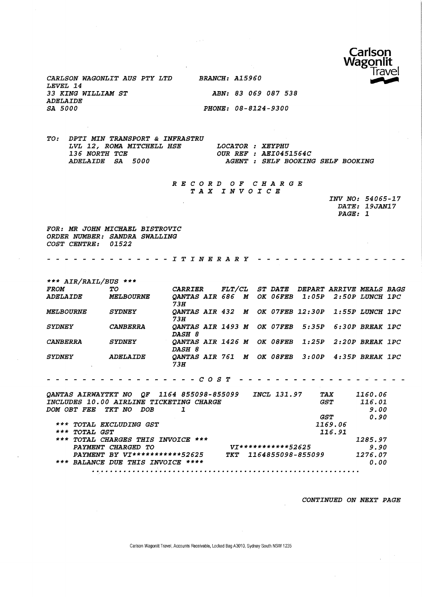

CARLSON WAGONLIT AUS PTY LTD BRANCH: A159SO LEVEL 14 33 KING WILLIAM ST ABN: 83 069 087 538 ADELAIDE SA 5000 PHONE: 08-8124-9300

TO: DPTI MIN TRANSPORT & INFRASTRU LVL 12, ROMA MITCHELL HSE LOCATOR : XEYPHU<br>136 NORTH TCE **OUR REF** : AEI045. 136 NORTH TCE 0UR REF : AEI0451564C<br>ADELAIDE SA 5000 AGENT : SELF BOOKING

AGENT : SELF BOOKING SELF BOOKING

RECORD OF CHARGE TAX INVOICE

|         | INV NO: 54065-17 |
|---------|------------------|
|         | DATE: 19JAN17    |
| PAGE: 1 |                  |

FOR: MR JOHN MICHAEL BISTROVIC ORDER NUMBER: SANDRA SWALLING COST CENTRE: 01522

- - - - - - *I T I N E R A R Y - -*

| *** $AIR/RAIL/BUS$ ***  |                      |                                                          |  |                                         |                 |  |
|-------------------------|----------------------|----------------------------------------------------------|--|-----------------------------------------|-----------------|--|
| <i><b>FROM</b></i>      | TO                   | <b><i>CARRIER</i></b>                                    |  | FLT/CL ST DATE DEPART ARRIVE MEALS BAGS |                 |  |
| <i><b>ADELAIDE</b></i>  | <b>MELBOURNE</b>     | OANTAS AIR 686 M OK 06FEB 1:05P 2:50P LUNCH 1PC<br>73H   |  |                                         |                 |  |
| <b><i>MELBOURNE</i></b> | <i><b>SYDNEY</b></i> | OANTAS AIR 432 M OK 07FEB 12:30P 1:55P LUNCH 1PC<br>73H  |  |                                         |                 |  |
| <i>SYDNEY</i>           | CANBERRA             | QANTAS AIR 1493 M OK 07FEB 5:35P<br><i><b>DASH 8</b></i> |  |                                         | 6:30P BREAK 1PC |  |
| CANBERRA                | <i><b>SYDNEY</b></i> | OANTAS AIR 1426 M OK O8FEB 1:25P<br><i>DASH 8</i>        |  |                                         | 2:20P BREAK 1PC |  |
| <i><b>SYDNEY</b></i>    | <b>ADELAIDE</b>      | QANTAS AIR 761 M OK 08FEB 3:00P 4:35P BREAK 1PC<br>73H   |  |                                         |                 |  |
|                         |                      | --COST                                                   |  |                                         |                 |  |

QANTAS AIRWAYTKT NO QF 1164 855098-855099 INCL131.97 TAX 1160.06 VANIAS AIRWAITRI NO VE 1104 855098-855099 INCLI 151.97 IAA 1100.00<br>INCLUDES 10.00 AIRLINE TICKETING CHARGE GST 116.01<br>DOM OBT FEE TKT NO DOB 1 9.00  $GST$  0.90<br>1169.06 \*\*\* TOTAL EXCLUDING GST 1169.06 \*\*\* TOTAL EXCLUDING GST<br>\*\*\* TOTAL GST 1169.06<br>\*\*\* TOTAL GST 116.91 \*\*\* TOTAL CHARGES THIS INVOICE \*\*\*  $VI^{**********}$ 52625 25 29.90 PAYMENT CHARGED TO vi\*\*\*\*\*\*\*\*\*\*\*52625 9.90 PAYMENT BY VI\*\*\*\*\*\*\*\*\*\*\*52625

\*\*\* BALANCE DUE THIS INVOICE \*\*\*\* 0.00

CONTINUED ON NEXT PAGE

Carlson Wagonlit Travel, Accounts Receivable, Locked Bag A3010, Sydney South NSW 1235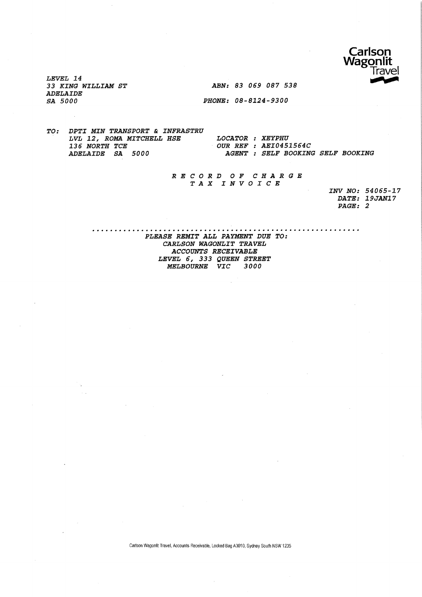

LEVEL 14 ADELAIDE<br>SA 5000

33 KING WILLIAM ST ABN: 83 069 087 538

PHONE: 08-8124-9300

TO: DPTI MIN TRANSPORT & INFRASTRU LVL 12, ROMA MITCHELL HSE LOCATOR : XEYPHU<br>136 NORTH TCE CUR REF : AEI045. 136 NORTH TCE 61 CUR REF : AEI0451564C<br>
ADELAIDE SA 5000 CAGENT : SELF BOOKING AGENT : SELF BOOKING SELF BOOKING

> RECORD OF CHARGE TAX INVOICE

INV NO: 54065-17 DATE: 19JAN17 PAGE: 2

PLEASE REMIT ALL PAYMENT DUE TO: CARLSON WAGONLIT TRAVEL ACCOUNTS RECEIVABLE LEVEL 6, 333 QUEEN STREET MELBOURNE VIC 3000

Carison Wagonllt Travel, Accounts Receivable, Locked Bag A3010, Sydney South NSW 1235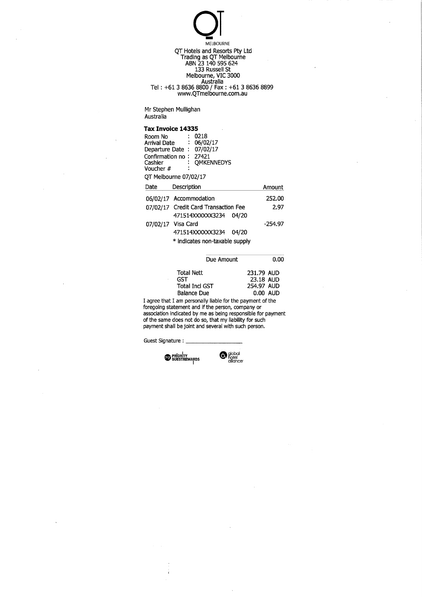$\overline{\bigcirc}$ MELBOURNE QT Hotels and Resorts Pty Ltd Trading as QT Melbourne ABN 23 140 595 624 133 Russell St Melbourne, VIC 3000 Australia Tel; +613 8636 8800 / Fax : +61 3 8636 8899 www.QTmelbourne.com.au

Mr Stephen Mullighan Australia

#### Tax Invoice 14335

| Room No<br>Cashier<br>Voucher # | 0218<br>Arrival Date : 06/02/17<br>Departure Date: 07/02/17<br>Confirmation no: 27421<br><b>OMKENNEDYS</b><br>QT Melbourne 07/02/17 |         |
|---------------------------------|-------------------------------------------------------------------------------------------------------------------------------------|---------|
| Date                            | Description                                                                                                                         | Amount  |
|                                 | 06/02/17 Accommodation                                                                                                              | 252.00  |
|                                 | 07/02/17 Credit Card Transaction Fee                                                                                                | 2.97    |
|                                 | 471514XXXXXX3234<br>04/20                                                                                                           |         |
|                                 | 07/02/17 Visa Card                                                                                                                  | -254.97 |
|                                 | 471514XXXXXX3234<br>04/20                                                                                                           |         |
|                                 | * indicates non-taxable supply                                                                                                      |         |

| Due Amount         | 0.00       |
|--------------------|------------|
| Total Nett         | 231.79 AUD |
| GST                | 23.18 AUD  |
| Total Incl GST     | 254.97 AUD |
| <b>Balance Due</b> | $0.00$ AUD |

I agree that I am personally liable for the payment of the foregoing statement and if the person, company or association indicated by me as being responsible for payment of the same does not do so, that my liability for such payment shall be joint and several with such person.

Guest Signature : \_\_

**PRIORITY**<br>GUESTREWARDS OF ROTEIN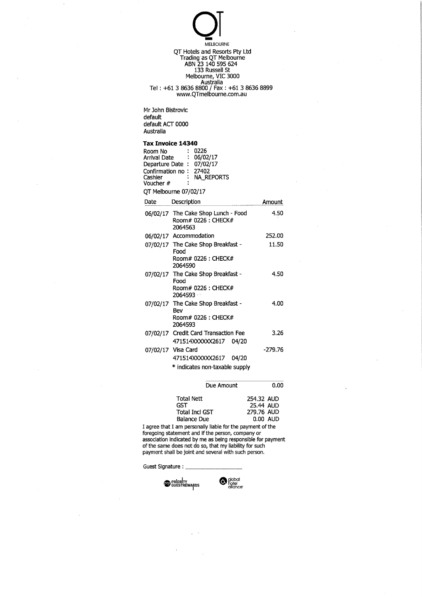$Q_1$ MELBOURNE QT Hotels and Resorts Pty Ltd Trading as QT Melbourne ABN 23 140 595 624 133 Russell St Melbourne, VIC 3000 Australia Tel : +613 8636 8800 / Fax : +61 3 8636 8899 www.QTmelbourne.com.au

Mr John Bistrovic default default ACT 0000 Australia

### Tax Invoice 14340

| Room No               |  | 0226       |  |  |  |
|-----------------------|--|------------|--|--|--|
| <b>Arrival Date</b>   |  | 06/02/17   |  |  |  |
| Departure Date:       |  | 07/02/17   |  |  |  |
| Confirmation no:      |  | 27402      |  |  |  |
| Cashier               |  | NA_REPORTS |  |  |  |
| Voucher #             |  |            |  |  |  |
| OT Melbourne 07/02/17 |  |            |  |  |  |

| Date | Description                                                                    | Amount    |
|------|--------------------------------------------------------------------------------|-----------|
|      | 06/02/17 The Cake Shop Lunch - Food<br>Room# 0226 : CHECK#<br>2064563          | 4.50      |
|      | 06/02/17 Accommodation                                                         | 252.00    |
|      | 07/02/17 The Cake Shop Breakfast -<br>Food<br>Room# 0226 : CHECK#<br>2064590   | 11.50     |
|      | 07/02/17 The Cake Shop Breakfast -<br>Food<br>Room# 0226 : CHECK#<br>2064593   | 4.50      |
|      | 07/02/17 The Cake Shop Breakfast -<br>Bev<br>Room# 0226 : CHECK#<br>2064593    | 4.00      |
|      | 07/02/17 Credit Card Transaction Fee<br>471514XXXXX2617 04/20                  | 3.26      |
|      | 07/02/17 Visa Card<br>471514XXXXXX2617 04/20<br>* indicates non-taxable supply | $-279.76$ |

| Due Amount                                                              |                                       | 0.00     |
|-------------------------------------------------------------------------|---------------------------------------|----------|
| <b>Total Nett</b><br>GST<br><b>Total Incl GST</b><br><b>Balance Due</b> | 254.32 AUD<br>25.44 AUD<br>279.76 AUD | 0.00 AUD |

I agree that I am personally liable for the payment of the foregoing statement and if the person, company or association Indicated by me as being responsible for payment of the same does not do so, that my liability for such payment shall be joint and several with such person.

Guest Signature ;

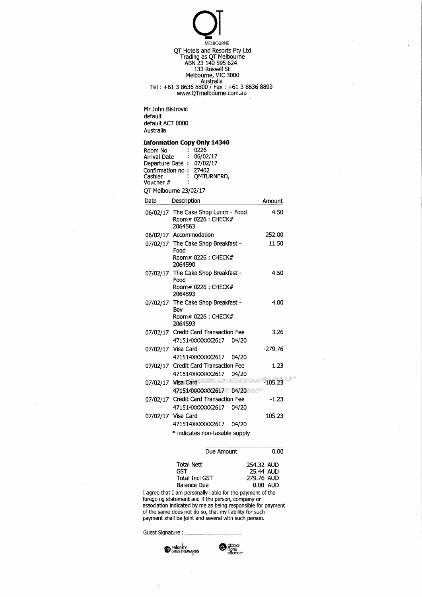$\bigcup$ MELBOURNE QT Hotels and Resorts Pty Ltd Trading as QT Melbourne ABN 23 140 595 624 133 Russell St Melbourne, VIC 3000 Australia Tel: +61 3 8636 8800 / Fax : +61 3 8636 8899 www.QTmelbourne.com.au

Mr John Bistrovic default default ACT 0000 Australia

#### Information Copy Only 14340

| Room No               |   | 0226       |
|-----------------------|---|------------|
| <b>Arrival Date</b>   |   | 06/02/17   |
| Departure Date:       |   | 07/02/17   |
| Confirmation no:      |   | 27402      |
| Cashier               |   | QMTURNERD, |
| Voucher #             | ÷ |            |
| QT Melbourne 23/02/17 |   |            |

| Date | Description                                                                   | Amount    |
|------|-------------------------------------------------------------------------------|-----------|
|      | 06/02/17 The Cake Shop Lunch - Food<br>Room# 0226 : CHECK#<br>2064563         | 4.50      |
|      | 06/02/17 Accommodation                                                        | 252.00    |
|      | 07/02/17 The Cake Shop Breakfast -<br>Food<br>Room# 0226: CHECK#<br>2064590   | 11.50     |
|      | 07/02/17 The Cake Shop Breakfast -<br>Food<br>Room# 0226 : CHECK#<br>2064593  | 4.50      |
|      | 07/02/17 The Cake Shop Breakfast -<br>Bev<br>Room# 0226: CHECK#<br>2064593    | 4.00      |
|      | 07/02/17 Credit Card Transaction Fee<br>471514XXXXXX2617<br>04/20             | 3.26      |
|      | 07/02/17 Visa Card<br>471514XXXXXX2617<br>04/20                               | $-279.76$ |
|      | 07/02/17 Credit Card Transaction Fee<br>471514XXXXX2617<br>04/20              | 1.23      |
|      | 07/02/17 Visa Card<br>471514XXXXX2617 04/20                                   | $-105.23$ |
|      | 07/02/17 Credit Card Transaction Fee<br>471514XXXXXX2617 04/20                | $-1.23$   |
|      | 07/02/17 Visa Card<br>471514XXXXX2617 04/20<br>* indicates non-taxable supply | 105.23    |

| Due Amount                                                                                                      |            | 0.00     |
|-----------------------------------------------------------------------------------------------------------------|------------|----------|
| <b>Total Nett</b>                                                                                               | 254.32 AUD |          |
| GST                                                                                                             | 25.44 AUD  |          |
| <b>Total Incl GST</b>                                                                                           | 279.76 AUD |          |
| <b>Balance Due</b>                                                                                              |            | 0.00 AUD |
| I agree that I am personally liable for the payment of the<br>foregoing statement and if the person, company or |            |          |
|                                                                                                                 |            |          |

foregoing statement and if the person, company or association indicated by me as being responsible for paymen of the same does not do so, that my liability for such payment shall be joint and several with such person.

Guest Signature:

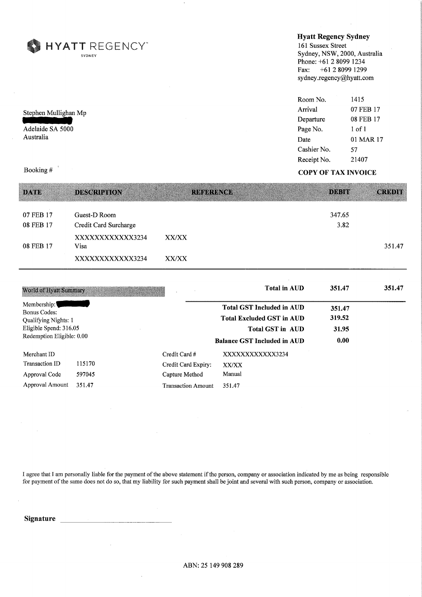HYATT REGENCY" SYDNEY

a Charles to the Capital and Capital and Charles and Capital And Charles and Charles and Capital And Charles and

# Stephen Mullighan Mp

Adelaide SA 5000 Australia

Booking #

# Hyatt Regency Sydney

161 Sussex Street Sydney, NSW, 2000, Australia Phone: +61 2 8099 1234 Fax: +61 2 8099 1299 sydney.regency@hyatt.com

| Room No.    | 1415      |
|-------------|-----------|
| Arrival     | 07 FEB 17 |
| Departure   | 08 FEB 17 |
| Page No.    | 1 of 1    |
| Date        | 01 MAR 17 |
| Cashier No. | 57        |
| Receipt No. | 21407     |
|             |           |

#### COPY OF TAX INVOICE

.<br>Martin Claster of Henrich Alliand La Michel (1974) in Alliand Laten 1945 (1941) and a state of the Martin Martin

| <b>DATE</b> | <b>DESCRIPTION</b>       | <b>REEDRENCE</b> | DOBIN<br><b>CREDIO</b> |  |
|-------------|--------------------------|------------------|------------------------|--|
| 07 FEB 17   | Guest-D Room             |                  | 347.65                 |  |
| 08 FEB 17   | Credit Card Surcharge    |                  | 3.82                   |  |
| 08 FEB 17   | XXXXXXXXXXXX3234<br>Visa | XX/XX            | 351.47                 |  |
|             | XXXXXXXXXXXX3234         | XX/XX            |                        |  |

| World of Hyatt Summary                                     |        |                           | <b>Total in AUD</b>                                                  | 351.47           | 351.47 |
|------------------------------------------------------------|--------|---------------------------|----------------------------------------------------------------------|------------------|--------|
| Membership:<br>Bonus Codes:<br><b>Qualifying Nights: 1</b> |        |                           | <b>Total GST Included in AUD</b><br><b>Total Excluded GST in AUD</b> | 351.47<br>319.52 |        |
| Eligible Spend: 316.05                                     |        |                           | <b>Total GST in AUD</b>                                              | 31.95            |        |
| Redemption Eligible: 0.00                                  |        |                           | <b>Balance GST Included in AUD</b>                                   | 0.00             |        |
| Merchant ID                                                |        | Credit Card #             | XXXXXXXXXXXX3234                                                     |                  |        |
| Transaction ID                                             | 115170 | Credit Card Expiry:       | XX/XX                                                                |                  |        |
| Approval Code                                              | 597045 | Capture Method            | Manual                                                               |                  |        |
| Approval Amount                                            | 351.47 | <b>Transaction Amount</b> | 351.47                                                               |                  |        |

I agree that I am personally liable for the payment of the above statement if the person, company or association indicated by me as being responsible for payment of the same does not do so, that my liability for such payment shall be joint and several with such person, company or association.

Signature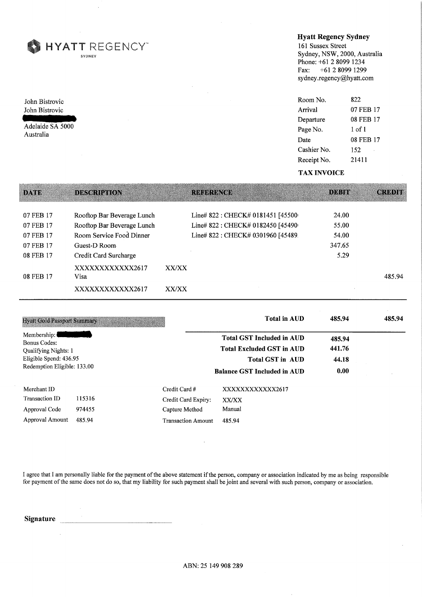HYATT REGENCY<sup>-</sup> SYDNEY

John Bistrovic John Bistrovic

Adelaide SA 5000 Australia

### Hyatt Regency Sydney

161 Sussex Street Sydney, NSW, 2000, Australia Phone: +61 2 8099 1234 Fax: +61 2 8099 1299 sydney.regency@hyatt.com

| Room No.    | 822.       |
|-------------|------------|
| Arrival     | 07 FEB 17  |
| Departure   | 08 FEB 17  |
| Page No.    | $1$ of $1$ |
| Date        | 08 FEB 17  |
| Cashier No. | 152        |
| Receipt No. | 21411      |
|             |            |

#### TAX INVOICE

| DATE:                  | <b>DESCRIPTION</b>                                       |       | RD BBRONCO                                                              | DDBH           | <b>GRODE</b> |
|------------------------|----------------------------------------------------------|-------|-------------------------------------------------------------------------|----------------|--------------|
| 07 FEB 17<br>07 FEB 17 | Rooftop Bar Beverage Lunch<br>Rooftop Bar Beverage Lunch |       | Line# 822 : CHECK# 0181451 [45500<br>Line# 822 : CHECK# 0182450 [45490] | 24.00<br>55.00 |              |
| 07 FEB 17              | Room Service Food Dinner                                 |       | Line# 822: CHECK# 0301960 [45489.                                       | 54.00          |              |
| 07 FEB 17              | Guest-D Room                                             |       |                                                                         | 347.65         |              |
| 08 FEB 17              | Credit Card Surcharge                                    |       |                                                                         | 5.29           |              |
| 08 FEB 17              | XXXXXXXXXXX2617<br>Visa                                  | XX/XX |                                                                         |                | 485.94       |
|                        | XXXXXXXXXXX2617                                          | XX/XX |                                                                         |                |              |

| <b>Hyatt Gold Passport Summary</b>                                                                                         |        |                           | <b>Total in AUD</b>                                                                                                                   | 485.94                            | 485.94 |
|----------------------------------------------------------------------------------------------------------------------------|--------|---------------------------|---------------------------------------------------------------------------------------------------------------------------------------|-----------------------------------|--------|
| Membership:<br><b>Bonus Codes:</b><br><b>Qualifying Nights: 1</b><br>Eligible Spend: 436.95<br>Redemption Eligible: 133.00 |        |                           | <b>Total GST Included in AUD</b><br><b>Total Excluded GST in AUD</b><br><b>Total GST in AUD</b><br><b>Balance GST Included in AUD</b> | 485.94<br>441.76<br>44.18<br>0.00 |        |
| Merchant ID                                                                                                                |        | Credit Card #             | XXXXXXXXXXX2617                                                                                                                       |                                   |        |
| Transaction ID                                                                                                             | 115316 | Credit Card Expiry:       | XX/XX                                                                                                                                 |                                   |        |
| Approval Code                                                                                                              | 974455 | Capture Method            | Manual                                                                                                                                |                                   |        |
| Approval Amount                                                                                                            | 485.94 | <b>Transaction Amount</b> | 485.94                                                                                                                                |                                   |        |

I agree that I am personally liable for the payment of the above statement if the person, company or association indicated by me as being responsible for payment of the same does not do so, that my liability for such payment shall be joint and several with such person, company or association.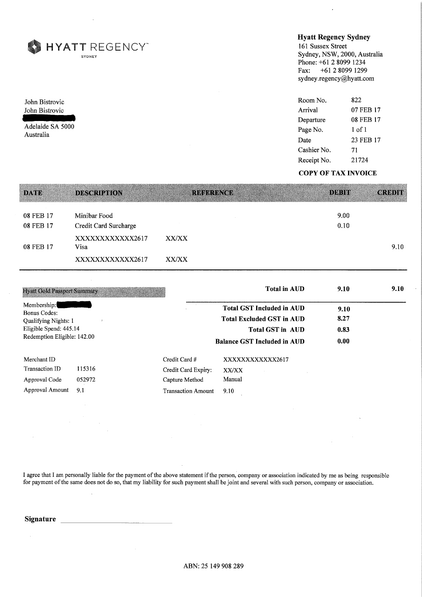HYATT REGENCY" SYDNEY

John Bistrovic John Bistrovic

Adelaide SA 5000 Australia

# Hyatt Regency Sydney

161 Sussex Street Sydney, NSW, 2000, Australia Phone: +61 2 8099 1234 Fax: +61 2 8099 1299 sydney.regency@hyatt.com

| Room No.    | 822       |
|-------------|-----------|
| Arrival     | 07 FEB 17 |
| Departure   | 08 FEB 17 |
| Page No.    | 1 of 1    |
| Date        | 23 FEB 17 |
| Cashier No. | 71        |
| Receipt No. | 21724     |

#### COPY OF TAX INVOICE

| <b>DATE</b>            | <b>DESCRIPTION</b>                    | <b>REFERENCE</b> | <b>DEBIT</b> | <b>CREDIT</b> |
|------------------------|---------------------------------------|------------------|--------------|---------------|
| 08 FEB 17<br>08 FEB 17 | Minibar Food<br>Credit Card Surcharge |                  | 9.00<br>0.10 |               |
| 08 FEB 17              | XXXXXXXXXXX2617<br>Visa               | XX/XX            |              | 9.10          |
|                        | XXXXXXXXXXX2617                       | XX/XX            |              |               |

| <b>Hyatt Gold Passport Summary</b>                                                                                         |                  |                                                        | <b>Total in AUD</b>                                                                                                                   | 9.10                         | 9.10 |
|----------------------------------------------------------------------------------------------------------------------------|------------------|--------------------------------------------------------|---------------------------------------------------------------------------------------------------------------------------------------|------------------------------|------|
| Membership:<br><b>Bonus Codes:</b><br><b>Qualifying Nights: 1</b><br>Eligible Spend: 445.14<br>Redemption Eligible: 142.00 |                  |                                                        | <b>Total GST Included in AUD</b><br><b>Total Excluded GST in AUD</b><br><b>Total GST in AUD</b><br><b>Balance GST Included in AUD</b> | 9.10<br>8.27<br>0.83<br>0.00 |      |
| Merchant ID<br>Transaction ID<br>Approval Code                                                                             | 115316<br>052972 | Credit Card #<br>Credit Card Expiry:<br>Capture Method | XXXXXXXXXXXX2617<br>XX/XX<br>Manual                                                                                                   |                              |      |
| Approval Amount                                                                                                            | 9.1              | <b>Transaction Amount</b>                              | 9.10                                                                                                                                  |                              |      |

I agree that I am personally liable for the payment of the above statement if the person, company or association indicated by me as being responsible for payment of the same does not do so, that my liability for such payment shall be joint and several with such person, company or association.

Signature

 $\bar{\mathcal{A}}$ 

 $\bar{\phantom{a}}$